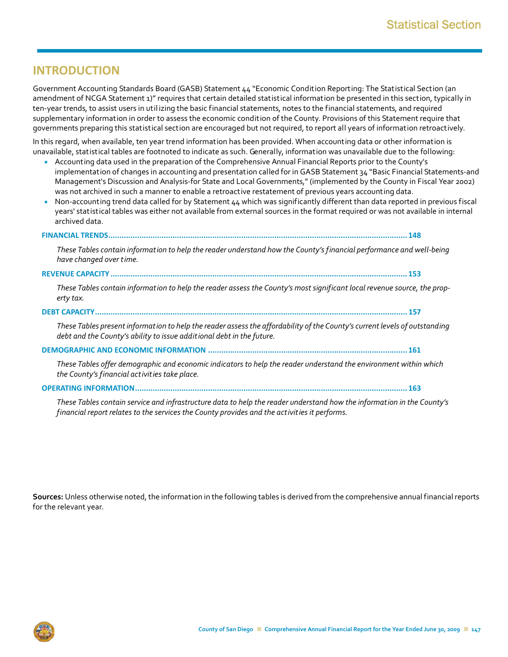## **INTRODUCTION**

Government Accounting Standards Board (GASB) Statement 44 "Economic Condition Reporting: The Statistical Section (an amendment of NCGA Statement 1)" requires that certain detailed statistical information be presented in this section, typically in ten‐year trends, to assist users in util izing the basic financial statements, notes to the financial statements, and required supplementary information in order to assess the economic condition of the County. Provisions of this Statement require that governments preparing this statistical section are encouraged but not required, to report all years of information retroactively.

In this regard, when available, ten year trend information has been provided. When accounting data or other information is unavailable, statistical tables are footnoted to indicate as such. Generally, information was unavailable due to the following:

- Accounting data used in the preparation of the Comprehensive Annual Financial Reports prior to the County's implementation of changes in accounting and presentation called for in GASB Statement 34 "Basic Financial Statements-and Management's Discussion and Analysis‐for State and Local Governments," (implemented by the County in Fiscal Year 2002) was not archived in such a manner to enable a retroactive restatement of previous years accounting data.
- ◆ Non-accounting trend data called for by Statement 44 which was significantly different than data reported in previous fiscal years' statistical tables was either not available from external sources in the format required or was not available in internal archived data.

|--|

These Tables contain information to help the reader understand how the County's financial performance and well-being *have changed over time.*

**REVENUE CAPACITY ...................................................................................................................................... 153**

These Tables contain information to help the reader assess the County's most significant local revenue source, the prop*erty tax.*

## **DEBT CAPACITY............................................................................................................................................. 157**

These Tables present information to help the reader assess the affordability of the County's current levels of outstanding *debt and the County's ability to issue additional debt in the future.*

**DEMOGRAPHIC AND ECONOMIC INFORMATION .......................................................................................... 161**

*These Tables offer demographic and economic indicatorsto help the reader understand the environment within which the County's financial activities take place.*

## **OPERATING INFORMATION........................................................................................................................... 163**

These Tables contain service and infrastructure data to help the reader understand how the information in the County's *financial report relatesto the services the County provides and the activities it performs.*

**Sources:** Unless otherwise noted, the information in the following tables is derived from the comprehensive annual financial reports for the relevant year.

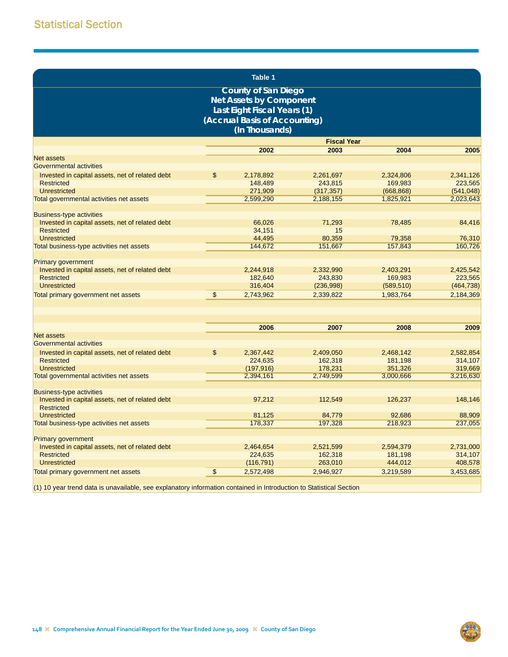|                                                                                    |                | <b>Table 1</b>                                                                                                               |                    |            |            |
|------------------------------------------------------------------------------------|----------------|------------------------------------------------------------------------------------------------------------------------------|--------------------|------------|------------|
|                                                                                    |                | <b>County of San Diego</b><br><b>Net Assets by Component</b><br>Last Eight Fiscal Years (1)<br>(Accrual Basis of Accounting) |                    |            |            |
|                                                                                    |                | (In Thousands)                                                                                                               |                    |            |            |
|                                                                                    |                |                                                                                                                              | <b>Fiscal Year</b> |            |            |
|                                                                                    |                | 2002                                                                                                                         | 2003               | 2004       | 2005       |
| Net assets                                                                         |                |                                                                                                                              |                    |            |            |
| <b>Governmental activities</b>                                                     |                |                                                                                                                              |                    |            |            |
| Invested in capital assets, net of related debt                                    | \$             | 2,178,892                                                                                                                    | 2,261,697          | 2,324,806  | 2,341,126  |
| <b>Restricted</b>                                                                  |                | 148,489                                                                                                                      | 243,815            | 169,983    | 223,565    |
| <b>Unrestricted</b>                                                                |                | 271,909                                                                                                                      | (317, 357)         | (668, 868) | (541, 048) |
| Total governmental activities net assets                                           |                | 2,599,290                                                                                                                    | 2,188,155          | 1,825,921  | 2,023,643  |
| <b>Business-type activities</b>                                                    |                |                                                                                                                              |                    |            |            |
| Invested in capital assets, net of related debt                                    |                | 66,026                                                                                                                       | 71,293             | 78,485     | 84,416     |
| <b>Restricted</b>                                                                  |                | 34,151                                                                                                                       | 15                 |            |            |
| <b>Unrestricted</b>                                                                |                | 44,495                                                                                                                       | 80,359             | 79,358     | 76,310     |
| Total business-type activities net assets                                          |                | 144,672                                                                                                                      | 151,667            | 157,843    | 160.726    |
|                                                                                    |                |                                                                                                                              |                    |            |            |
| <b>Primary government</b>                                                          |                |                                                                                                                              |                    |            |            |
| Invested in capital assets, net of related debt                                    |                | 2,244,918                                                                                                                    | 2,332,990          | 2,403,291  | 2,425,542  |
| <b>Restricted</b>                                                                  |                | 182,640                                                                                                                      | 243,830            | 169,983    | 223,565    |
| <b>Unrestricted</b>                                                                |                | 316,404                                                                                                                      | (236,998)          | (589, 510) | (464, 738) |
| Total primary government net assets                                                | $\mathfrak{s}$ | 2,743,962                                                                                                                    | 2,339,822          | 1,983,764  | 2,184,369  |
|                                                                                    |                |                                                                                                                              |                    |            |            |
|                                                                                    |                |                                                                                                                              |                    |            |            |
|                                                                                    |                | 2006                                                                                                                         | 2007               | 2008       | 2009       |
| <b>Net assets</b>                                                                  |                |                                                                                                                              |                    |            |            |
| Governmental activities                                                            |                |                                                                                                                              |                    |            |            |
| Invested in capital assets, net of related debt                                    | \$             | 2,367,442                                                                                                                    | 2,409,050          | 2,468,142  | 2,582,854  |
| <b>Restricted</b>                                                                  |                | 224,635                                                                                                                      | 162,318            | 181,198    | 314,107    |
| <b>Unrestricted</b>                                                                |                | (197, 916)                                                                                                                   | 178,231            | 351,326    | 319,669    |
| Total governmental activities net assets                                           |                | 2,394,161                                                                                                                    | 2,749,599          | 3,000,666  | 3,216,630  |
|                                                                                    |                |                                                                                                                              |                    |            |            |
| <b>Business-type activities</b><br>Invested in capital assets, net of related debt |                | 97,212                                                                                                                       | 112,549            | 126,237    | 148,146    |
| <b>Restricted</b>                                                                  |                |                                                                                                                              |                    |            |            |
| <b>Unrestricted</b>                                                                |                | 81,125                                                                                                                       | 84.779             | 92,686     | 88,909     |
| Total business-type activities net assets                                          |                | 178,337                                                                                                                      | 197,328            | 218,923    | 237,055    |
|                                                                                    |                |                                                                                                                              |                    |            |            |
| <b>Primary government</b>                                                          |                |                                                                                                                              |                    |            |            |
| Invested in capital assets, net of related debt                                    |                | 2,464,654                                                                                                                    | 2,521,599          | 2,594,379  | 2,731,000  |
| <b>Restricted</b>                                                                  |                | 224,635                                                                                                                      | 162,318            | 181.198    | 314.107    |
| Unrestricted                                                                       |                | (116, 791)                                                                                                                   | 263,010            | 444,012    | 408,578    |
| Total primary government net assets                                                | \$             | 2,572,498                                                                                                                    | 2,946,927          | 3,219,589  | 3.453.685  |
|                                                                                    |                |                                                                                                                              |                    |            |            |

(1) 10 year trend data is unavailable, see explanatory information contained in Introduction to Statistical Section

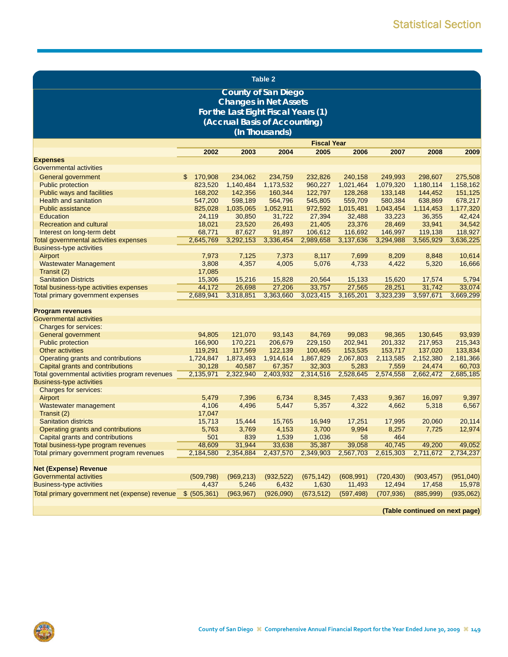|                                                            |                     |                      | <b>Table 2</b>                      |                     |                      |                      |                      |                      |
|------------------------------------------------------------|---------------------|----------------------|-------------------------------------|---------------------|----------------------|----------------------|----------------------|----------------------|
|                                                            |                     |                      | <b>County of San Diego</b>          |                     |                      |                      |                      |                      |
|                                                            |                     |                      | <b>Changes in Net Assets</b>        |                     |                      |                      |                      |                      |
|                                                            |                     |                      | For the Last Eight Fiscal Years (1) |                     |                      |                      |                      |                      |
|                                                            |                     |                      | (Accrual Basis of Accounting)       |                     |                      |                      |                      |                      |
|                                                            |                     |                      | (In Thousands)                      |                     |                      |                      |                      |                      |
|                                                            |                     |                      |                                     |                     |                      |                      |                      |                      |
|                                                            |                     |                      |                                     | <b>Fiscal Year</b>  |                      |                      |                      |                      |
| <b>Expenses</b>                                            | 2002                | 2003                 | 2004                                | 2005                | 2006                 | 2007                 | 2008                 | 2009                 |
| <b>Governmental activities</b>                             |                     |                      |                                     |                     |                      |                      |                      |                      |
|                                                            |                     |                      |                                     |                     |                      |                      |                      |                      |
| General government                                         | \$<br>170,908       | 234,062              | 234,759                             | 232,826             | 240,158              | 249,993              | 298,607              | 275,508              |
| <b>Public protection</b>                                   | 823,520<br>168,202  | 1,140,484<br>142,356 | 1,173,532<br>160,344                | 960,227<br>122,797  | 1,021,464<br>128,268 | 1,079,320<br>133,148 | 1,180,114<br>144,452 | 1,158,162<br>151,125 |
| Public ways and facilities<br><b>Health and sanitation</b> | 547,200             | 598,189              | 564,796                             | 545,805             | 559,709              | 580,384              | 638,869              | 678,217              |
| <b>Public assistance</b>                                   | 825,028             | 1,035,065            | 1,052,911                           | 972,592             | 1,015,481            | 1,043,454            | 1,114,453            | 1,177,320            |
| Education                                                  | 24,119              | 30,850               | 31,722                              | 27,394              | 32,488               | 33,223               | 36,355               | 42,424               |
| <b>Recreation and cultural</b>                             | 18,021              | 23,520               | 26,493                              | 21,405              | 23,376               | 28,469               | 33,941               | 34,542               |
| Interest on long-term debt                                 | 68,771              | 87,627               | 91,897                              | 106,612             | 116,692              | 146,997              | 119,138              | 118,927              |
| Total governmental activities expenses                     | 2,645,769           | 3,292,153            | 3,336,454                           | 2,989,658           | 3,137,636            | 3,294,988            | 3,565,929            | 3,636,225            |
| <b>Business-type activities</b>                            |                     |                      |                                     |                     |                      |                      |                      |                      |
| Airport                                                    | 7,973               | 7,125                | 7,373                               | 8,117               | 7,699                | 8,209                | 8,848                | 10,614               |
| <b>Wastewater Management</b>                               | 3,808               | 4,357                | 4,005                               | 5,076               | 4,733                | 4,422                | 5,320                | 16,666               |
| Transit (2)                                                | 17,085              |                      |                                     |                     |                      |                      |                      |                      |
| <b>Sanitation Districts</b>                                | 15,306              | 15,216               | 15,828                              | 20,564              | 15,133               | 15,620               | 17,574               | 5,794                |
| Total business-type activities expenses                    | 44,172              | 26,698               | 27,206                              | 33,757              | 27,565               | 28,251               | 31,742               | 33,074               |
| Total primary government expenses                          | 2,689,941           | 3,318,851            | 3,363,660                           | 3,023,415           | 3,165,201            | 3,323,239            | 3,597,671            | 3,669,299            |
|                                                            |                     |                      |                                     |                     |                      |                      |                      |                      |
| <b>Program revenues</b>                                    |                     |                      |                                     |                     |                      |                      |                      |                      |
| Governmental activities                                    |                     |                      |                                     |                     |                      |                      |                      |                      |
| Charges for services:                                      |                     |                      |                                     |                     |                      |                      |                      |                      |
| General government                                         | 94,805              | 121,070              | 93,143                              | 84,769              | 99,083               | 98,365               | 130,645              | 93,939               |
| <b>Public protection</b>                                   | 166,900             | 170,221              | 206,679                             | 229,150             | 202,941              | 201,332              | 217,953              | 215,343              |
| <b>Other activities</b>                                    | 119,291             | 117,569              | 122,139                             | 100,465             | 153,535              | 153,717              | 137,020              | 133,834              |
| Operating grants and contributions                         | 1,724,847           | 1,873,493            | 1,914,614                           | 1,867,829           | 2,067,803            | 2,113,585            | 2,152,380            | 2,181,366            |
| Capital grants and contributions                           | 30,128              | 40,587               | 67,357                              | 32,303              | 5,283                | 7,559                | 24,474               | 60,703               |
| Total governmental activities program revenues             | 2,135,971           | 2,322,940            | 2,403,932                           | 2,314,516           | 2,528,645            | 2,574,558            | 2,662,472            | 2,685,185            |
| <b>Business-type activities</b>                            |                     |                      |                                     |                     |                      |                      |                      |                      |
| Charges for services:                                      |                     |                      |                                     |                     |                      |                      |                      |                      |
| Airport                                                    | 5,479               | 7,396                | 6,734                               | 8,345               | 7,433                | 9,367                | 16,097               | 9,397                |
| Wastewater management                                      | 4,106               | 4,496                | 5,447                               | 5,357               | 4,322                | 4,662                | 5,318                | 6,567                |
| Transit (2)                                                | 17,047              |                      |                                     |                     |                      |                      |                      |                      |
| <b>Sanitation districts</b>                                | 15,713              | 15,444               | 15,765                              | 16,949              | 17,251               | 17,995               | 20,060               | 20,114               |
| Operating grants and contributions                         | 5,763               | 3,769                | 4,153                               | 3,700               | 9,994                | 8,257                | 7,725                | 12,974               |
| Capital grants and contributions                           | 501                 | 839                  | 1,539                               | 1,036               | 58                   | 464                  |                      |                      |
| Total business-type program revenues                       | 48,609              | 31,944               | 33,638                              | 35,387              | 39,058               | 40,745               | 49,200               | 49,052               |
| Total primary government program revenues                  | 2,184,580           | 2,354,884            | 2,437,570                           | 2,349,903           | 2,567,703            | 2,615,303            | 2,711,672            | 2,734,237            |
| <b>Net (Expense) Revenue</b>                               |                     |                      |                                     |                     |                      |                      |                      |                      |
| <b>Governmental activities</b>                             |                     |                      |                                     |                     |                      |                      |                      | (951,040)            |
| <b>Business-type activities</b>                            | (509, 798)<br>4,437 | (969, 213)<br>5,246  | (932, 522)<br>6,432                 | (675, 142)<br>1,630 | (608, 991)<br>11,493 | (720, 430)<br>12,494 | (903, 457)<br>17,458 | 15,978               |
|                                                            |                     |                      |                                     |                     |                      |                      |                      |                      |
| Total primary government net (expense) revenue             | \$ (505, 361)       | (963, 967)           | (926,090)                           | (673, 512)          | (597, 498)           | (707, 936)           | (885,999)            | (935,062)            |

**(Table continued on next page)**

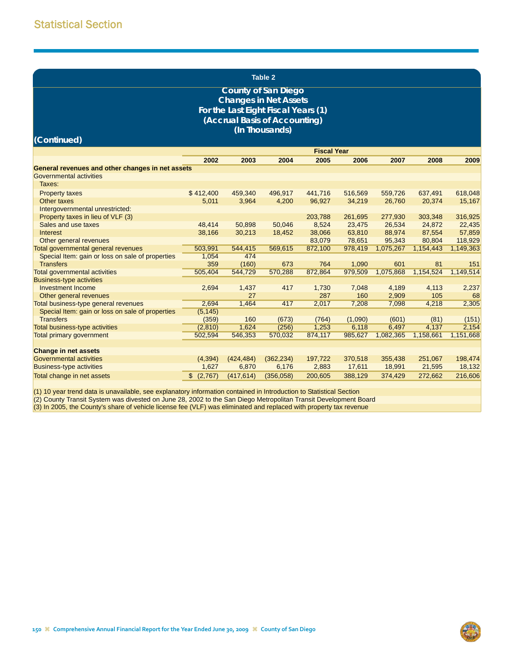|                                                                                          | <b>Table 2</b> |             |                                                                                                                                    |                    |              |           |              |             |  |  |  |
|------------------------------------------------------------------------------------------|----------------|-------------|------------------------------------------------------------------------------------------------------------------------------------|--------------------|--------------|-----------|--------------|-------------|--|--|--|
|                                                                                          |                |             | <b>County of San Diego</b><br><b>Changes in Net Assets</b><br>For the Last Eight Fiscal Years (1)<br>(Accrual Basis of Accounting) |                    |              |           |              |             |  |  |  |
|                                                                                          |                |             |                                                                                                                                    |                    |              |           |              |             |  |  |  |
|                                                                                          |                |             | (In Thousands)                                                                                                                     |                    |              |           |              |             |  |  |  |
| (Continued)                                                                              |                |             |                                                                                                                                    |                    |              |           |              |             |  |  |  |
|                                                                                          |                |             |                                                                                                                                    | <b>Fiscal Year</b> |              |           |              |             |  |  |  |
|                                                                                          | 2002           | 2003        | 2004                                                                                                                               | 2005               | 2006         | 2007      | 2008         | 2009        |  |  |  |
| General revenues and other changes in net assets                                         |                |             |                                                                                                                                    |                    |              |           |              |             |  |  |  |
| Governmental activities                                                                  |                |             |                                                                                                                                    |                    |              |           |              |             |  |  |  |
| Taxes:                                                                                   |                |             |                                                                                                                                    |                    |              |           |              |             |  |  |  |
| <b>Property taxes</b>                                                                    | \$412,400      | 459,340     | 496,917                                                                                                                            | 441,716            | 516,569      | 559,726   | 637,491      | 618,048     |  |  |  |
| Other taxes                                                                              | 5,011          | 3,964       | 4,200                                                                                                                              | 96,927             | 34,219       | 26,760    | 20,374       | 15,167      |  |  |  |
| Intergovernmental unrestricted:                                                          |                |             |                                                                                                                                    |                    |              |           |              |             |  |  |  |
| Property taxes in lieu of VLF (3)                                                        |                |             |                                                                                                                                    | 203,788            | 261,695      | 277,930   | 303,348      | 316,925     |  |  |  |
| Sales and use taxes                                                                      | 48,414         | 50,898      | 50,046                                                                                                                             | 8,524              | 23,475       | 26,534    | 24,872       | 22,435      |  |  |  |
| <b>Interest</b>                                                                          | 38,166         | 30,213      | 18,452                                                                                                                             | 38,066             | 63,810       | 88,974    | 87,554       | 57,859      |  |  |  |
| Other general revenues                                                                   |                |             |                                                                                                                                    | 83,079             | 78,651       | 95,343    | 80,804       | 118,929     |  |  |  |
| Total governmental general revenues                                                      | 503,991        | 544,415     | 569,615                                                                                                                            | 872,100            | 978,419      | 1,075,267 | 1,154,443    | 1,149,363   |  |  |  |
| Special Item: gain or loss on sale of properties                                         | 1,054          | 474         |                                                                                                                                    |                    |              |           |              |             |  |  |  |
| <b>Transfers</b>                                                                         | 359            | (160)       | 673                                                                                                                                | 764                | 1,090        | 601       | 81           | 151         |  |  |  |
| <b>Total governmental activities</b>                                                     | 505,404        | 544,729     | 570,288                                                                                                                            | 872,864            | 979,509      | 1,075,868 | 1,154,524    | 1,149,514   |  |  |  |
| <b>Business-type activities</b>                                                          |                |             |                                                                                                                                    |                    |              |           |              |             |  |  |  |
| <b>Investment Income</b>                                                                 | 2,694          | 1,437<br>27 | 417                                                                                                                                | 1,730<br>287       | 7,048        | 4,189     | 4,113        | 2,237       |  |  |  |
| Other general revenues                                                                   | 2,694          | 1,464       | 417                                                                                                                                | 2,017              | 160<br>7,208 | 2,909     | 105<br>4,218 | 68<br>2,305 |  |  |  |
| Total business-type general revenues<br>Special Item: gain or loss on sale of properties | (5, 145)       |             |                                                                                                                                    |                    |              | 7,098     |              |             |  |  |  |
| <b>Transfers</b>                                                                         | (359)          | 160         | (673)                                                                                                                              | (764)              | (1,090)      | (601)     | (81)         | (151)       |  |  |  |
| <b>Total business-type activities</b>                                                    | (2,810)        | 1,624       | (256)                                                                                                                              | 1,253              | 6,118        | 6,497     | 4,137        | 2,154       |  |  |  |
| <b>Total primary government</b>                                                          | 502,594        | 546,353     | 570,032                                                                                                                            | 874,117            | 985,627      | 1,082,365 | 1,158,661    | 1,151,668   |  |  |  |
|                                                                                          |                |             |                                                                                                                                    |                    |              |           |              |             |  |  |  |
| <b>Change in net assets</b>                                                              |                |             |                                                                                                                                    |                    |              |           |              |             |  |  |  |
| Governmental activities                                                                  | (4, 394)       | (424, 484)  | (362, 234)                                                                                                                         | 197,722            | 370,518      | 355,438   | 251,067      | 198,474     |  |  |  |
| <b>Business-type activities</b>                                                          | 1,627          | 6,870       | 6,176                                                                                                                              | 2,883              | 17,611       | 18,991    | 21,595       | 18,132      |  |  |  |
| Total change in net assets                                                               | \$(2,767)      | (417, 614)  | (356,058)                                                                                                                          | 200,605            | 388,129      | 374,429   | 272,662      | 216,606     |  |  |  |
|                                                                                          |                |             |                                                                                                                                    |                    |              |           |              |             |  |  |  |

(1) 10 year trend data is unavailable, see explanatory information contained in Introduction to Statistical Section

(2) County Transit System was divested on June 28, 2002 to the San Diego Metropolitan Transit Development Board

(3) In 2005, the County's share of vehicle license fee (VLF) was eliminated and replaced with property tax revenue

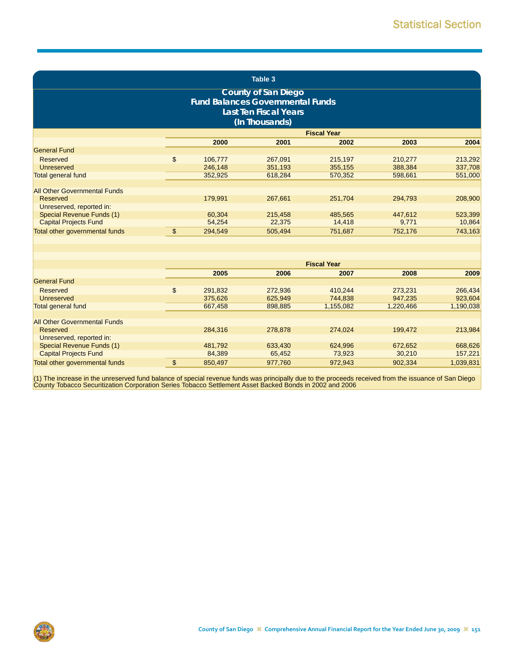| Table 3<br><b>County of San Diego</b><br><b>Fund Balances Governmental Funds</b><br><b>Last Ten Fiscal Years</b><br>(In Thousands)<br><b>Fiscal Year</b> |                |         |         |                    |           |           |  |  |  |
|----------------------------------------------------------------------------------------------------------------------------------------------------------|----------------|---------|---------|--------------------|-----------|-----------|--|--|--|
|                                                                                                                                                          |                |         |         |                    |           |           |  |  |  |
| <b>General Fund</b>                                                                                                                                      |                | 2000    | 2001    | 2002               | 2003      | 2004      |  |  |  |
|                                                                                                                                                          |                |         |         |                    |           |           |  |  |  |
| <b>Reserved</b>                                                                                                                                          | \$             | 106,777 | 267,091 | 215,197            | 210,277   | 213,292   |  |  |  |
| Unreserved                                                                                                                                               |                | 246,148 | 351,193 | 355,155            | 388,384   | 337,708   |  |  |  |
| <b>Total general fund</b>                                                                                                                                |                | 352,925 | 618,284 | 570,352            | 598,661   | 551,000   |  |  |  |
| <b>All Other Governmental Funds</b>                                                                                                                      |                |         |         |                    |           |           |  |  |  |
| Reserved                                                                                                                                                 |                | 179,991 | 267,661 | 251,704            | 294,793   | 208,900   |  |  |  |
| Unreserved, reported in:                                                                                                                                 |                |         |         |                    |           |           |  |  |  |
| Special Revenue Funds (1)                                                                                                                                |                | 60,304  | 215,458 | 485,565            | 447,612   | 523,399   |  |  |  |
| <b>Capital Projects Fund</b>                                                                                                                             |                | 54,254  | 22,375  | 14,418             | 9,771     | 10,864    |  |  |  |
|                                                                                                                                                          | $\mathfrak{s}$ |         |         |                    |           |           |  |  |  |
| Total other governmental funds                                                                                                                           |                | 294,549 | 505,494 | 751,687            | 752,176   | 743,163   |  |  |  |
|                                                                                                                                                          |                |         |         |                    |           |           |  |  |  |
|                                                                                                                                                          |                |         |         |                    |           |           |  |  |  |
|                                                                                                                                                          |                |         |         | <b>Fiscal Year</b> |           |           |  |  |  |
|                                                                                                                                                          |                | 2005    | 2006    | 2007               | 2008      | 2009      |  |  |  |
| <b>General Fund</b>                                                                                                                                      |                |         |         |                    |           |           |  |  |  |
| <b>Reserved</b>                                                                                                                                          | \$             | 291,832 | 272,936 | 410,244            | 273,231   | 266,434   |  |  |  |
| Unreserved                                                                                                                                               |                | 375,626 | 625,949 | 744,838            | 947,235   | 923,604   |  |  |  |
| <b>Total general fund</b>                                                                                                                                |                | 667,458 | 898,885 | 1,155,082          | 1,220,466 | 1,190,038 |  |  |  |
|                                                                                                                                                          |                |         |         |                    |           |           |  |  |  |
| <b>All Other Governmental Funds</b>                                                                                                                      |                |         |         |                    |           |           |  |  |  |
| <b>Reserved</b>                                                                                                                                          |                | 284,316 | 278,878 | 274,024            | 199,472   | 213,984   |  |  |  |
| Unreserved, reported in:                                                                                                                                 |                |         |         |                    |           |           |  |  |  |
| Special Revenue Funds (1)                                                                                                                                |                | 481,792 | 633,430 | 624,996            | 672,652   | 668,626   |  |  |  |
| <b>Capital Projects Fund</b>                                                                                                                             |                | 84,389  | 65,452  | 73,923             | 30,210    | 157,221   |  |  |  |
| Total other governmental funds                                                                                                                           | \$             | 850,497 | 977,760 | 972,943            | 902,334   | 1,039,831 |  |  |  |

(1) The increase in the unreserved fund balance of special revenue funds was principally due to the proceeds received from the issuance of San Diego<br>County Tobacco Securitization Corporation Series Tobacco Settlement Asset

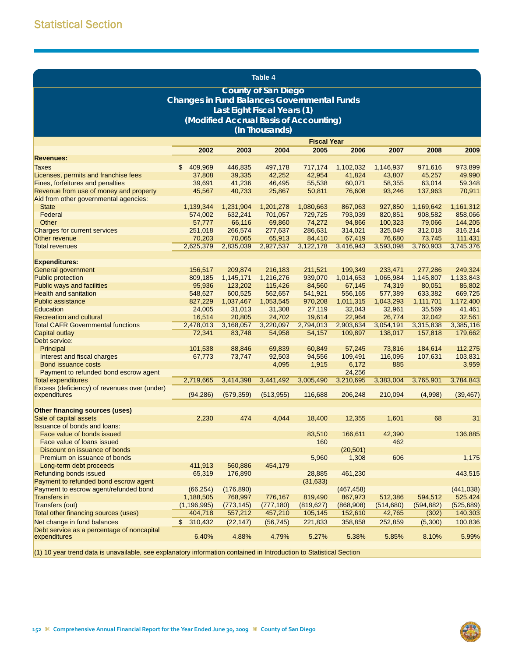|                                                                          |                                                    |                     | Table 4                                |                     |                      |                      |                      |                      |
|--------------------------------------------------------------------------|----------------------------------------------------|---------------------|----------------------------------------|---------------------|----------------------|----------------------|----------------------|----------------------|
|                                                                          |                                                    |                     | <b>County of San Diego</b>             |                     |                      |                      |                      |                      |
|                                                                          | <b>Changes in Fund Balances Governmental Funds</b> |                     |                                        |                     |                      |                      |                      |                      |
|                                                                          |                                                    |                     | Last Eight Fiscal Years (1)            |                     |                      |                      |                      |                      |
|                                                                          |                                                    |                     | (Modified Accrual Basis of Accounting) |                     |                      |                      |                      |                      |
|                                                                          |                                                    |                     | (In Thousands)                         |                     |                      |                      |                      |                      |
|                                                                          |                                                    |                     |                                        | <b>Fiscal Year</b>  |                      |                      |                      |                      |
|                                                                          | 2002                                               | 2003                | 2004                                   | 2005                | 2006                 | 2007                 | 2008                 | 2009                 |
| <b>Revenues:</b>                                                         |                                                    |                     |                                        |                     |                      |                      |                      |                      |
| <b>Taxes</b>                                                             | 409,969<br>\$.                                     | 446,835             | 497,178                                | 717,174             | 1,102,032            | 1,146,937            | 971,616              | 973,899              |
| Licenses, permits and franchise fees<br>Fines, forfeitures and penalties | 37,808<br>39,691                                   | 39,335<br>41,236    | 42,252<br>46,495                       | 42,954<br>55,538    | 41,824<br>60,071     | 43,807<br>58,355     | 45,257<br>63,014     | 49,990<br>59,348     |
| Revenue from use of money and property                                   | 45,567                                             | 40,733              | 25,867                                 | 50,811              | 76,608               | 93,246               | 137,963              | 70,911               |
| Aid from other governmental agencies:                                    |                                                    |                     |                                        |                     |                      |                      |                      |                      |
| <b>State</b>                                                             | 1,139,344                                          | 1,231,904           | 1,201,278                              | 1,080,663           | 867,063              | 927,850              | 1,169,642            | 1,161,312            |
| Federal                                                                  | 574,002                                            | 632,241             | 701,057                                | 729,725             | 793,039              | 820,851              | 908,582              | 858,066              |
| Other                                                                    | 57,777                                             | 66,116              | 69,860                                 | 74,272              | 94,866               | 100,323              | 79,066               | 144,205              |
| Charges for current services                                             | 251,018                                            | 266,574             | 277,637                                | 286,631             | 314,021              | 325,049              | 312,018              | 316,214              |
| Other revenue                                                            | 70.203                                             | 70,065              | 65,913<br>2,927,537                    | 84,410              | 67,419               | 76,680               | 73,745               | 111,431              |
| <b>Total revenues</b>                                                    | 2,625,379                                          | 2,835,039           |                                        | 3,122,178           | 3,416,943            | 3,593,098            | 3,760,903            | 3,745,376            |
| <b>Expenditures:</b>                                                     |                                                    |                     |                                        |                     |                      |                      |                      |                      |
| <b>General government</b>                                                | 156,517                                            | 209,874             | 216,183                                | 211,521             | 199,349              | 233,471              | 277,286              | 249,324              |
| <b>Public protection</b>                                                 | 809,185                                            | 1,145,171           | 1,216,276                              | 939,070             | 1,014,653            | 1,065,984            | 1,145,807            | 1,133,843            |
| Public ways and facilities                                               | 95,936                                             | 123,202             | 115,426                                | 84,560              | 67,145               | 74,319               | 80,051               | 85,802               |
| <b>Health and sanitation</b>                                             | 548,627                                            | 600,525             | 562,657                                | 541,921             | 556,165              | 577,389              | 633,382              | 669,725              |
| <b>Public assistance</b>                                                 | 827,229                                            | 1,037,467           | 1,053,545                              | 970,208             | 1,011,315            | 1,043,293            | 1,111,701            | 1,172,400            |
| Education                                                                | 24,005                                             | 31,013              | 31,308                                 | 27,119              | 32,043               | 32,961               | 35,569               | 41,461               |
| <b>Recreation and cultural</b>                                           | 16,514                                             | 20,805              | 24,702                                 | 19,614              | 22,964               | 26,774               | 32,042               | 32,561               |
| <b>Total CAFR Governmental functions</b><br>Capital outlay               | 2,478,013<br>72,341                                | 3,168,057<br>83,748 | 3,220,097<br>54,958                    | 2,794,013<br>54,157 | 2,903,634<br>109,897 | 3,054,191<br>138,017 | 3,315,838<br>157,818 | 3,385,116<br>179,662 |
| Debt service:                                                            |                                                    |                     |                                        |                     |                      |                      |                      |                      |
| Principal                                                                | 101,538                                            | 88,846              | 69,839                                 | 60,849              | 57,245               | 73,816               | 184,614              | 112,275              |
| Interest and fiscal charges                                              | 67,773                                             | 73,747              | 92,503                                 | 94,556              | 109,491              | 116,095              | 107,631              | 103,831              |
| <b>Bond issuance costs</b>                                               |                                                    |                     | 4,095                                  | 1,915               | 6,172                | 885                  |                      | 3,959                |
| Payment to refunded bond escrow agent                                    |                                                    |                     |                                        |                     | 24,256               |                      |                      |                      |
| <b>Total expenditures</b>                                                | 2,719,665                                          | 3,414,398           | 3,441,492                              | 3,005,490           | 3,210,695            | 3,383,004            | 3,765,901            | 3,784,843            |
| Excess (deficiency) of revenues over (under)                             | (94, 286)                                          | (579, 359)          | (513,955)                              | 116,688             | 206,248              | 210,094              | (4,998)              | (39, 467)            |
| expenditures                                                             |                                                    |                     |                                        |                     |                      |                      |                      |                      |
| Other financing sources (uses)                                           |                                                    |                     |                                        |                     |                      |                      |                      |                      |
| Sale of capital assets                                                   | 2,230                                              | 474                 | 4,044                                  | 18,400              | 12,355               | 1,601                | 68                   | 31                   |
| <b>Issuance of bonds and loans:</b>                                      |                                                    |                     |                                        |                     |                      |                      |                      |                      |
| Face value of bonds issued                                               |                                                    |                     |                                        | 83,510              | 166,611              | 42,390               |                      | 136,885              |
| Face value of loans issued                                               |                                                    |                     |                                        | 160                 |                      | 462                  |                      |                      |
| Discount on issuance of bonds                                            |                                                    |                     |                                        |                     | (20, 501)            |                      |                      |                      |
| Premium on issuance of bonds                                             | 411,913                                            |                     | 454,179                                | 5,960               | 1,308                | 606                  |                      | 1,175                |
| Long-term debt proceeds<br><b>Refunding bonds issued</b>                 | 65,319                                             | 560,886<br>176,890  |                                        | 28,885              | 461,230              |                      |                      | 443,515              |
| Payment to refunded bond escrow agent                                    |                                                    |                     |                                        | (31, 633)           |                      |                      |                      |                      |
| Payment to escrow agent/refunded bond                                    | (66, 254)                                          | (176, 890)          |                                        |                     | (467, 458)           |                      |                      | (441, 038)           |
| <b>Transfers in</b>                                                      | 1,188,505                                          | 768,997             | 776,167                                | 819,490             | 867,973              | 512,386              | 594,512              | 525,424              |
| Transfers (out)                                                          | (1, 196, 995)                                      | (773, 145)          | (777, 180)                             | (819, 627)          | (868,908)            | (514, 680)           | (594, 882)           | (525, 689)           |
| Total other financing sources (uses)                                     | 404,718                                            | 557,212             | 457,210                                | 105,145             | 152,610              | 42,765               | (302)                | 140,303              |
| Net change in fund balances                                              | \$310,432                                          | (22, 147)           | (56, 745)                              | 221,833             | 358,858              | 252,859              | (5,300)              | 100,836              |
| Debt service as a percentage of noncapital<br>expenditures               | 6.40%                                              | 4.88%               | 4.79%                                  | 5.27%               | 5.38%                | 5.85%                | 8.10%                | 5.99%                |

(1) 10 year trend data is unavailable, see explanatory information contained in Introduction to Statistical Section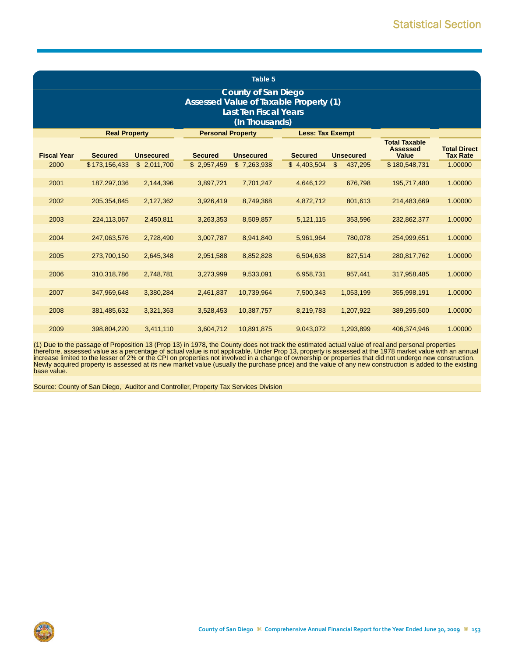|                    | Table 5              |                  |                          |                              |                                        |               |                                                  |                                        |  |  |  |  |
|--------------------|----------------------|------------------|--------------------------|------------------------------|----------------------------------------|---------------|--------------------------------------------------|----------------------------------------|--|--|--|--|
|                    |                      |                  |                          | <b>County of San Diego</b>   |                                        |               |                                                  |                                        |  |  |  |  |
|                    |                      |                  |                          | <b>Last Ten Fiscal Years</b> | Assessed Value of Taxable Property (1) |               |                                                  |                                        |  |  |  |  |
| (In Thousands)     |                      |                  |                          |                              |                                        |               |                                                  |                                        |  |  |  |  |
|                    | <b>Real Property</b> |                  | <b>Personal Property</b> |                              | <b>Less: Tax Exempt</b>                |               |                                                  |                                        |  |  |  |  |
| <b>Fiscal Year</b> | <b>Secured</b>       | <b>Unsecured</b> | <b>Secured</b>           | <b>Unsecured</b>             | <b>Secured</b><br><b>Unsecured</b>     |               | <b>Total Taxable</b><br><b>Assessed</b><br>Value | <b>Total Direct</b><br><b>Tax Rate</b> |  |  |  |  |
| 2000               | \$173.156.433        | \$2,011,700      | \$2,957,459              | \$7,263,938                  | \$4,403,504                            | 437,295<br>\$ | \$180,548,731                                    | 1.00000                                |  |  |  |  |
| 2001               | 187,297,036          | 2,144,396        | 3,897,721                | 7,701,247                    | 4,646,122                              | 676,798       | 195,717,480                                      | 1.00000                                |  |  |  |  |
| 2002               | 205,354,845          | 2,127,362        | 3,926,419                | 8,749,368                    | 4,872,712                              | 801,613       | 214,483,669                                      | 1.00000                                |  |  |  |  |
| 2003               | 224,113,067          | 2,450,811        | 3,263,353                | 8,509,857                    | 5,121,115                              | 353,596       | 232,862,377                                      | 1.00000                                |  |  |  |  |
| 2004               | 247,063,576          | 2,728,490        | 3,007,787                | 8,941,840                    | 5,961,964                              | 780,078       | 254,999,651                                      | 1.00000                                |  |  |  |  |
| 2005               | 273,700,150          | 2,645,348        | 2,951,588                | 8,852,828                    | 6,504,638                              | 827,514       | 280,817,762                                      | 1.00000                                |  |  |  |  |
| 2006               | 310,318,786          | 2,748,781        | 3,273,999                | 9,533,091                    | 6,958,731                              | 957,441       | 317,958,485                                      | 1.00000                                |  |  |  |  |
| 2007               | 347,969,648          | 3,380,284        | 2,461,837                | 10,739,964                   | 7,500,343                              | 1,053,199     | 355,998,191                                      | 1.00000                                |  |  |  |  |
| 2008               | 381,485,632          | 3,321,363        | 3,528,453                | 10,387,757                   | 8,219,783                              | 1,207,922     | 389,295,500                                      | 1.00000                                |  |  |  |  |
| 2009               | 398.804.220          | 3.411.110        | 3.604.712                | 10.891.875                   | 9,043,072                              | 1,293,899     | 406.374.946                                      | 1.00000                                |  |  |  |  |

(1) Due to the passage of Proposition 13 (Prop 13) in 1978, the County does not track the estimated actual value of real and personal properties<br>therefore, assessed value as a percentage of actual value is not applicable. Newly acquired property is assessed at its new market value (usually the purchase price) and the value of any new construction is added to the existing base value.

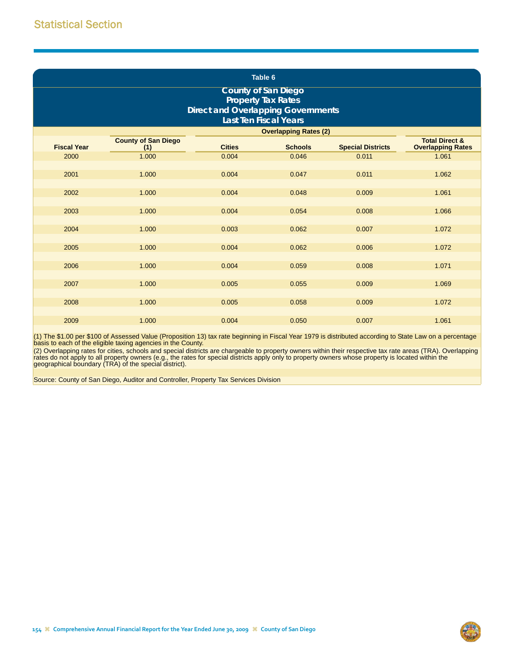|                    | Table 6<br><b>County of San Diego</b><br><b>Property Tax Rates</b><br><b>Direct and Overlapping Governments</b><br><b>Last Ten Fiscal Years</b> |               |                              |                          |                           |  |  |  |  |  |  |
|--------------------|-------------------------------------------------------------------------------------------------------------------------------------------------|---------------|------------------------------|--------------------------|---------------------------|--|--|--|--|--|--|
|                    | <b>County of San Diego</b>                                                                                                                      |               | <b>Overlapping Rates (2)</b> |                          | <b>Total Direct &amp;</b> |  |  |  |  |  |  |
| <b>Fiscal Year</b> | (1)                                                                                                                                             | <b>Cities</b> | <b>Schools</b>               | <b>Special Districts</b> | <b>Overlapping Rates</b>  |  |  |  |  |  |  |
| 2000               | 1.000                                                                                                                                           | 0.004         | 0.046                        | 0.011                    | 1.061                     |  |  |  |  |  |  |
|                    |                                                                                                                                                 |               |                              |                          |                           |  |  |  |  |  |  |
| 2001               | 1.000                                                                                                                                           | 0.004         | 0.047                        | 0.011                    | 1.062                     |  |  |  |  |  |  |
|                    |                                                                                                                                                 |               |                              |                          |                           |  |  |  |  |  |  |
| 2002               | 1.000                                                                                                                                           | 0.004         | 0.048                        | 0.009                    | 1.061                     |  |  |  |  |  |  |
|                    |                                                                                                                                                 |               |                              |                          |                           |  |  |  |  |  |  |
| 2003               | 1.000                                                                                                                                           | 0.004         | 0.054                        | 0.008                    | 1.066                     |  |  |  |  |  |  |
|                    |                                                                                                                                                 |               |                              |                          |                           |  |  |  |  |  |  |
| 2004               | 1.000                                                                                                                                           | 0.003         | 0.062                        | 0.007                    | 1.072                     |  |  |  |  |  |  |
|                    |                                                                                                                                                 |               |                              |                          |                           |  |  |  |  |  |  |
| 2005               | 1.000                                                                                                                                           | 0.004         | 0.062                        | 0.006                    | 1.072                     |  |  |  |  |  |  |
|                    |                                                                                                                                                 |               |                              |                          |                           |  |  |  |  |  |  |
| 2006               | 1.000                                                                                                                                           | 0.004         | 0.059                        | 0.008                    | 1.071                     |  |  |  |  |  |  |
|                    |                                                                                                                                                 |               |                              |                          |                           |  |  |  |  |  |  |
| 2007               | 1.000                                                                                                                                           | 0.005         | 0.055                        | 0.009                    | 1.069                     |  |  |  |  |  |  |
|                    |                                                                                                                                                 |               |                              |                          |                           |  |  |  |  |  |  |
| 2008               | 1.000                                                                                                                                           | 0.005         | 0.058                        | 0.009                    | 1.072                     |  |  |  |  |  |  |
|                    |                                                                                                                                                 |               |                              |                          |                           |  |  |  |  |  |  |
| 2009               | 1.000                                                                                                                                           | 0.004         | 0.050                        | 0.007                    | 1.061                     |  |  |  |  |  |  |

(1) The \$1.00 per \$100 of Assessed Value (Proposition 13) tax rate beginning in Fiscal Year 1979 is distributed according to State Law on a percentage basis to each of the eligible taxing agencies in the County.

(2) Overlapping rates for cities, schools and special districts are chargeable to property owners within their respective tax rate areas (TRA). Overlapping<br>rates do not apply to all property owners (e.g., the rates for spe geographical boundary (TRA) of the special district).

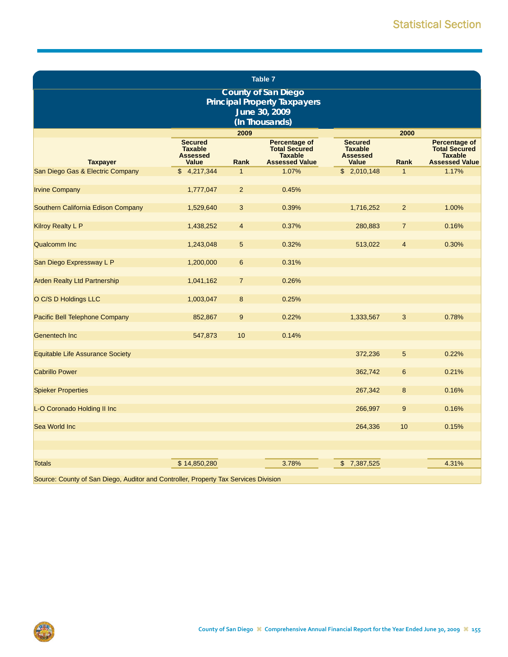|                                                                                     |                                                                     |                | Table 7                                                                            |                                                                     |                |                                                                                  |
|-------------------------------------------------------------------------------------|---------------------------------------------------------------------|----------------|------------------------------------------------------------------------------------|---------------------------------------------------------------------|----------------|----------------------------------------------------------------------------------|
|                                                                                     |                                                                     |                | <b>County of San Diego</b><br><b>Principal Property Taxpayers</b><br>June 30, 2009 |                                                                     |                |                                                                                  |
|                                                                                     |                                                                     |                | (In Thousands)                                                                     |                                                                     |                |                                                                                  |
| <b>Taxpayer</b>                                                                     | <b>Secured</b><br><b>Taxable</b><br><b>Assessed</b><br><b>Value</b> | 2009<br>Rank   | Percentage of<br><b>Total Secured</b><br><b>Taxable</b><br><b>Assessed Value</b>   | <b>Secured</b><br><b>Taxable</b><br><b>Assessed</b><br><b>Value</b> | 2000<br>Rank   | Percentage of<br><b>Total Secured</b><br><b>Taxable</b><br><b>Assessed Value</b> |
| San Diego Gas & Electric Company                                                    | \$4,217,344                                                         | $\mathbf{1}$   | 1.07%                                                                              | \$2,010,148                                                         | $\mathbf{1}$   | 1.17%                                                                            |
| <b>Irvine Company</b>                                                               | 1,777,047                                                           | $\overline{2}$ | 0.45%                                                                              |                                                                     |                |                                                                                  |
| Southern California Edison Company                                                  | 1,529,640                                                           | 3              | 0.39%                                                                              | 1,716,252                                                           | $\overline{2}$ | 1.00%                                                                            |
| Kilroy Realty L P                                                                   | 1,438,252                                                           | 4              | 0.37%                                                                              | 280,883                                                             | $\overline{7}$ | 0.16%                                                                            |
| <b>Qualcomm Inc</b>                                                                 | 1,243,048                                                           | 5              | 0.32%                                                                              | 513,022                                                             | $\overline{4}$ | 0.30%                                                                            |
| San Diego Expressway L P                                                            | 1,200,000                                                           | 6              | 0.31%                                                                              |                                                                     |                |                                                                                  |
| <b>Arden Realty Ltd Partnership</b>                                                 | 1,041,162                                                           | $\overline{7}$ | 0.26%                                                                              |                                                                     |                |                                                                                  |
| O C/S D Holdings LLC                                                                | 1,003,047                                                           | 8              | 0.25%                                                                              |                                                                     |                |                                                                                  |
| Pacific Bell Telephone Company                                                      | 852,867                                                             | 9              | 0.22%                                                                              | 1,333,567                                                           | 3              | 0.78%                                                                            |
| Genentech Inc                                                                       | 547,873                                                             | 10             | 0.14%                                                                              |                                                                     |                |                                                                                  |
| Equitable Life Assurance Society                                                    |                                                                     |                |                                                                                    | 372,236                                                             | 5              | 0.22%                                                                            |
| <b>Cabrillo Power</b>                                                               |                                                                     |                |                                                                                    | 362,742                                                             | 6              | 0.21%                                                                            |
| <b>Spieker Properties</b>                                                           |                                                                     |                |                                                                                    | 267,342                                                             | 8              | 0.16%                                                                            |
| L-O Coronado Holding II Inc                                                         |                                                                     |                |                                                                                    | 266,997                                                             | 9              | 0.16%                                                                            |
| Sea World Inc                                                                       |                                                                     |                |                                                                                    | 264,336                                                             | 10             | 0.15%                                                                            |
|                                                                                     |                                                                     |                |                                                                                    |                                                                     |                |                                                                                  |
|                                                                                     |                                                                     |                |                                                                                    |                                                                     |                |                                                                                  |
| <b>Totals</b>                                                                       | \$14,850,280                                                        |                | 3.78%                                                                              | \$<br>7,387,525                                                     |                | 4.31%                                                                            |
| Source: County of San Diogo, Auditor and Controller, Property Tax Senvices Division |                                                                     |                |                                                                                    |                                                                     |                |                                                                                  |

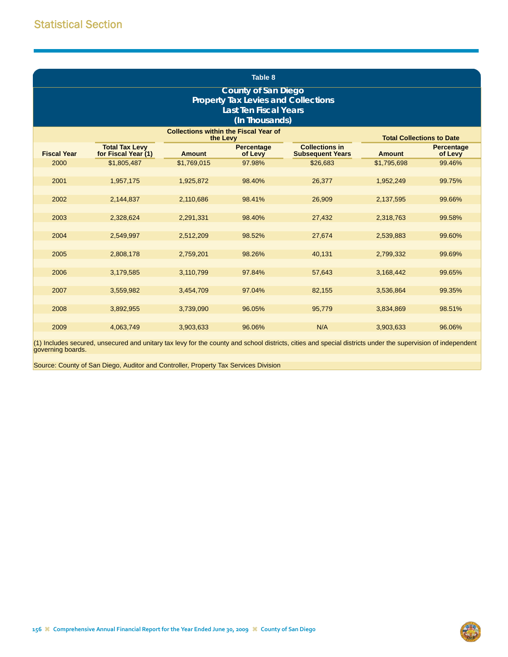|                                                                                                                            | Table 8                                      |               |                              |                                                  |               |                              |  |  |  |  |  |  |
|----------------------------------------------------------------------------------------------------------------------------|----------------------------------------------|---------------|------------------------------|--------------------------------------------------|---------------|------------------------------|--|--|--|--|--|--|
| <b>County of San Diego</b><br><b>Property Tax Levies and Collections</b><br><b>Last Ten Fiscal Years</b><br>(In Thousands) |                                              |               |                              |                                                  |               |                              |  |  |  |  |  |  |
| <b>Collections within the Fiscal Year of</b><br><b>Total Collections to Date</b><br>the Levy                               |                                              |               |                              |                                                  |               |                              |  |  |  |  |  |  |
| <b>Fiscal Year</b>                                                                                                         | <b>Total Tax Levy</b><br>for Fiscal Year (1) | <b>Amount</b> | <b>Percentage</b><br>of Levy | <b>Collections in</b><br><b>Subsequent Years</b> | <b>Amount</b> | <b>Percentage</b><br>of Levy |  |  |  |  |  |  |
| 2000                                                                                                                       | \$1,805,487                                  | \$1,769,015   | 97.98%                       | \$26,683                                         | \$1,795,698   | 99.46%                       |  |  |  |  |  |  |
| 2001                                                                                                                       | 1,957,175                                    | 1,925,872     | 98.40%                       | 26,377                                           | 1,952,249     | 99.75%                       |  |  |  |  |  |  |
| 2002                                                                                                                       | 2,144,837                                    | 2,110,686     | 98.41%                       | 26,909                                           | 2,137,595     | 99.66%                       |  |  |  |  |  |  |
| 2003                                                                                                                       | 2,328,624                                    | 2,291,331     | 98.40%                       | 27,432                                           | 2,318,763     | 99.58%                       |  |  |  |  |  |  |
| 2004                                                                                                                       | 2,549,997                                    | 2,512,209     | 98.52%                       | 27,674                                           | 2,539,883     | 99.60%                       |  |  |  |  |  |  |
| 2005                                                                                                                       | 2,808,178                                    | 2,759,201     | 98.26%                       | 40,131                                           | 2,799,332     | 99.69%                       |  |  |  |  |  |  |
| 2006                                                                                                                       | 3,179,585                                    | 3,110,799     | 97.84%                       | 57,643                                           | 3,168,442     | 99.65%                       |  |  |  |  |  |  |
| 2007                                                                                                                       | 3,559,982                                    | 3,454,709     | 97.04%                       | 82,155                                           | 3,536,864     | 99.35%                       |  |  |  |  |  |  |
| 2008                                                                                                                       | 3,892,955                                    | 3,739,090     | 96.05%                       | 95,779                                           | 3,834,869     | 98.51%                       |  |  |  |  |  |  |
| 2009                                                                                                                       | 4,063,749                                    | 3,903,633     | 96.06%                       | N/A                                              | 3,903,633     | 96.06%                       |  |  |  |  |  |  |

(1) Includes secured, unsecured and unitary tax levy for the county and school districts, cities and special districts under the supervision of independent governing boards.

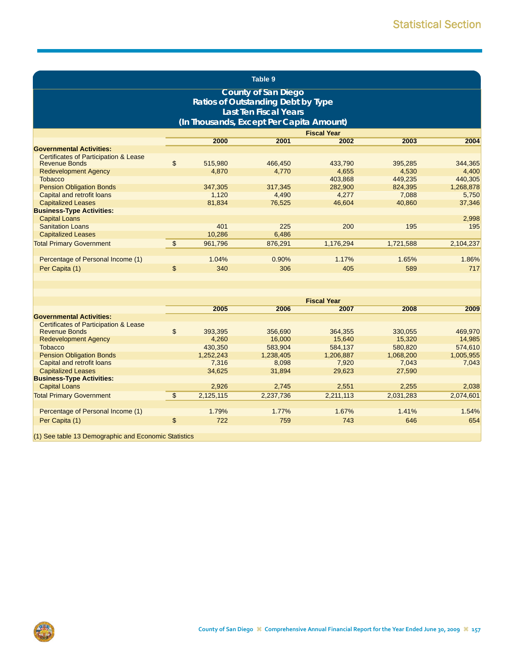|                                                                          | Table 9 |           |                                           |                    |           |           |  |  |  |  |  |
|--------------------------------------------------------------------------|---------|-----------|-------------------------------------------|--------------------|-----------|-----------|--|--|--|--|--|
|                                                                          |         |           | <b>County of San Diego</b>                |                    |           |           |  |  |  |  |  |
|                                                                          |         |           | <b>Ratios of Outstanding Debt by Type</b> |                    |           |           |  |  |  |  |  |
|                                                                          |         |           | <b>Last Ten Fiscal Years</b>              |                    |           |           |  |  |  |  |  |
|                                                                          |         |           | (In Thousands, Except Per Capita Amount)  |                    |           |           |  |  |  |  |  |
|                                                                          |         |           |                                           | <b>Fiscal Year</b> |           |           |  |  |  |  |  |
|                                                                          |         | 2000      | 2001                                      | 2002               | 2003      | 2004      |  |  |  |  |  |
| <b>Governmental Activities:</b>                                          |         |           |                                           |                    |           |           |  |  |  |  |  |
| <b>Certificates of Participation &amp; Lease</b>                         |         |           |                                           |                    |           |           |  |  |  |  |  |
| <b>Revenue Bonds</b>                                                     | \$      | 515,980   | 466,450                                   | 433,790            | 395,285   | 344,365   |  |  |  |  |  |
| <b>Redevelopment Agency</b>                                              |         | 4,870     | 4,770                                     | 4,655              | 4,530     | 4,400     |  |  |  |  |  |
| <b>Tobacco</b>                                                           |         |           |                                           | 403,868            | 449,235   | 440,305   |  |  |  |  |  |
| <b>Pension Obligation Bonds</b>                                          |         | 347,305   | 317.345                                   | 282,900            | 824,395   | 1,268,878 |  |  |  |  |  |
| Capital and retrofit loans                                               |         | 1,120     | 4,490                                     | 4,277              | 7,088     | 5,750     |  |  |  |  |  |
| <b>Capitalized Leases</b>                                                |         | 81,834    | 76,525                                    | 46,604             | 40,860    | 37,346    |  |  |  |  |  |
| <b>Business-Type Activities:</b>                                         |         |           |                                           |                    |           |           |  |  |  |  |  |
| <b>Capital Loans</b>                                                     |         |           |                                           |                    |           | 2,998     |  |  |  |  |  |
| <b>Sanitation Loans</b>                                                  |         | 401       | 225                                       | 200                | 195       | 195       |  |  |  |  |  |
| <b>Capitalized Leases</b>                                                |         | 10,286    | 6,486                                     |                    |           |           |  |  |  |  |  |
| <b>Total Primary Government</b>                                          | \$      | 961,796   | 876,291                                   | 1,176,294          | 1,721,588 | 2,104,237 |  |  |  |  |  |
|                                                                          |         |           |                                           |                    |           |           |  |  |  |  |  |
| Percentage of Personal Income (1)                                        |         | 1.04%     | 0.90%                                     | 1.17%              | 1.65%     | 1.86%     |  |  |  |  |  |
| Per Capita (1)                                                           | \$      | 340       | 306                                       | 405                | 589       | 717       |  |  |  |  |  |
|                                                                          |         |           |                                           |                    |           |           |  |  |  |  |  |
|                                                                          |         |           |                                           |                    |           |           |  |  |  |  |  |
|                                                                          |         |           |                                           |                    |           |           |  |  |  |  |  |
|                                                                          |         |           |                                           | <b>Fiscal Year</b> |           |           |  |  |  |  |  |
|                                                                          |         | 2005      | 2006                                      | 2007               | 2008      | 2009      |  |  |  |  |  |
| <b>Governmental Activities:</b>                                          |         |           |                                           |                    |           |           |  |  |  |  |  |
| <b>Certificates of Participation &amp; Lease</b><br><b>Revenue Bonds</b> | \$      | 393,395   | 356,690                                   | 364,355            | 330,055   | 469,970   |  |  |  |  |  |
| <b>Redevelopment Agency</b>                                              |         | 4,260     | 16,000                                    | 15,640             | 15,320    | 14,985    |  |  |  |  |  |
| <b>Tobacco</b>                                                           |         | 430,350   | 583,904                                   | 584,137            | 580,820   | 574,610   |  |  |  |  |  |
| <b>Pension Obligation Bonds</b>                                          |         | 1,252,243 | 1,238,405                                 | 1,206,887          | 1,068,200 | 1,005,955 |  |  |  |  |  |
| Capital and retrofit loans                                               |         | 7,316     | 8,098                                     | 7,920              | 7,043     | 7,043     |  |  |  |  |  |
| <b>Capitalized Leases</b>                                                |         | 34,625    | 31,894                                    | 29,623             | 27,590    |           |  |  |  |  |  |
| <b>Business-Type Activities:</b>                                         |         |           |                                           |                    |           |           |  |  |  |  |  |
| <b>Capital Loans</b>                                                     |         | 2,926     | 2,745                                     | 2,551              | 2,255     | 2,038     |  |  |  |  |  |
| <b>Total Primary Government</b>                                          | \$      | 2,125,115 | 2,237,736                                 | 2,211,113          | 2,031,283 | 2,074,601 |  |  |  |  |  |

Percentage of Personal Income (1) 1.79% 1.77% 1.67% 1.41% 1.54% Per Capita (1) \$ 722 759 743 646 654

(1) See table 13 Demographic and Economic Statistics

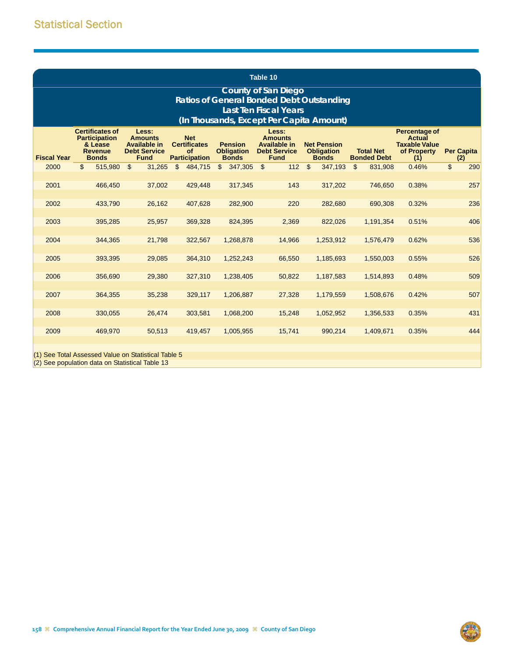|                                                       |                                                                                             |                                                                                      |                                                                        |                                                     | Table 10                                                                       |                                                         |                                        |                                                                       |                          |
|-------------------------------------------------------|---------------------------------------------------------------------------------------------|--------------------------------------------------------------------------------------|------------------------------------------------------------------------|-----------------------------------------------------|--------------------------------------------------------------------------------|---------------------------------------------------------|----------------------------------------|-----------------------------------------------------------------------|--------------------------|
|                                                       |                                                                                             |                                                                                      |                                                                        |                                                     | <b>County of San Diego</b><br><b>Ratios of General Bonded Debt Outstanding</b> |                                                         |                                        |                                                                       |                          |
|                                                       |                                                                                             |                                                                                      |                                                                        |                                                     | <b>Last Ten Fiscal Years</b>                                                   |                                                         |                                        |                                                                       |                          |
|                                                       |                                                                                             |                                                                                      |                                                                        |                                                     | (In Thousands, Except Per Capita Amount)                                       |                                                         |                                        |                                                                       |                          |
| <b>Fiscal Year</b>                                    | <b>Certificates of</b><br><b>Participation</b><br>& Lease<br><b>Revenue</b><br><b>Bonds</b> | Less:<br><b>Amounts</b><br><b>Available in</b><br><b>Debt Service</b><br><b>Fund</b> | <b>Net</b><br><b>Certificates</b><br><b>of</b><br><b>Participation</b> | <b>Pension</b><br><b>Obligation</b><br><b>Bonds</b> | Less:<br><b>Amounts</b><br>Available in<br><b>Debt Service</b><br><b>Fund</b>  | <b>Net Pension</b><br><b>Obligation</b><br><b>Bonds</b> | <b>Total Net</b><br><b>Bonded Debt</b> | Percentage of<br>Actual<br><b>Taxable Value</b><br>of Property<br>(1) | <b>Per Capita</b><br>(2) |
| 2000                                                  | \$<br>515,980                                                                               | \$<br>31,265                                                                         | \$<br>484,715                                                          | 347,305<br>\$                                       | $\mathfrak{L}$<br>112                                                          | $\mathfrak{S}$<br>347,193                               | $\mathfrak{L}$<br>831,908              | 0.46%                                                                 | \$<br>290                |
| 2001                                                  | 466,450                                                                                     | 37,002                                                                               | 429,448                                                                | 317,345                                             | 143                                                                            | 317,202                                                 | 746,650                                | 0.38%                                                                 | 257                      |
| 2002                                                  | 433,790                                                                                     | 26,162                                                                               | 407,628                                                                | 282,900                                             | 220                                                                            | 282,680                                                 | 690,308                                | 0.32%                                                                 | 236                      |
|                                                       |                                                                                             |                                                                                      |                                                                        |                                                     |                                                                                |                                                         |                                        |                                                                       |                          |
| 2003                                                  | 395,285                                                                                     | 25,957                                                                               | 369,328                                                                | 824,395                                             | 2,369                                                                          | 822,026                                                 | 1,191,354                              | 0.51%                                                                 | 406                      |
| 2004                                                  | 344,365                                                                                     | 21,798                                                                               | 322,567                                                                | 1,268,878                                           | 14,966                                                                         | 1,253,912                                               | 1,576,479                              | 0.62%                                                                 | 536                      |
|                                                       |                                                                                             |                                                                                      |                                                                        |                                                     |                                                                                |                                                         |                                        |                                                                       |                          |
| 2005                                                  | 393,395                                                                                     | 29,085                                                                               | 364,310                                                                | 1,252,243                                           | 66,550                                                                         | 1,185,693                                               | 1,550,003                              | 0.55%                                                                 | 526                      |
| 2006                                                  | 356,690                                                                                     | 29,380                                                                               | 327,310                                                                | 1,238,405                                           | 50,822                                                                         | 1,187,583                                               | 1,514,893                              | 0.48%                                                                 | 509                      |
| 2007                                                  | 364,355                                                                                     | 35,238                                                                               | 329,117                                                                | 1,206,887                                           | 27,328                                                                         | 1,179,559                                               | 1,508,676                              | 0.42%                                                                 | 507                      |
| 2008                                                  | 330,055                                                                                     | 26,474                                                                               | 303,581                                                                | 1,068,200                                           | 15,248                                                                         | 1,052,952                                               | 1,356,533                              | 0.35%                                                                 | 431                      |
| 2009                                                  | 469,970                                                                                     | 50,513                                                                               | 419,457                                                                | 1,005,955                                           | 15,741                                                                         | 990,214                                                 | 1,409,671                              | 0.35%                                                                 | 444                      |
| $(4)$ $\Omega_{\text{max}}$ $\mathbf{T}_{\text{max}}$ |                                                                                             | at Martin and Charles Card Talents F                                                 |                                                                        |                                                     |                                                                                |                                                         |                                        |                                                                       |                          |

(1) See Total Assessed Value on Statistical Table 5 (2) See population data on Statistical Table 13

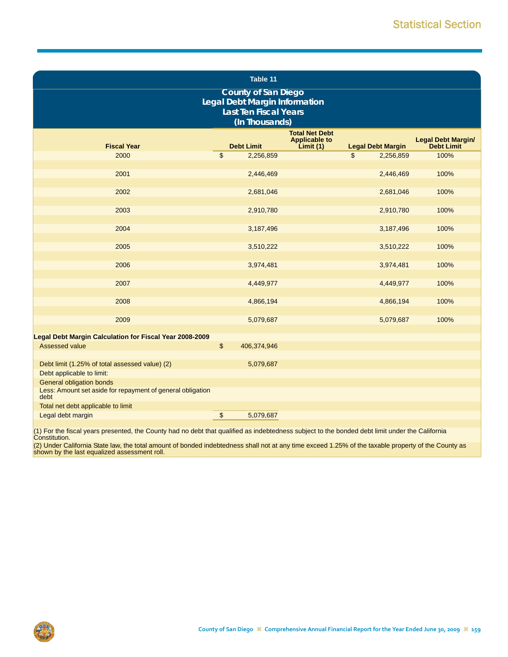|                                                                                                       |                         | Table 11                                                      |                                                           |                          |                                  |  |  |  |  |  |
|-------------------------------------------------------------------------------------------------------|-------------------------|---------------------------------------------------------------|-----------------------------------------------------------|--------------------------|----------------------------------|--|--|--|--|--|
|                                                                                                       |                         | <b>County of San Diego</b>                                    |                                                           |                          |                                  |  |  |  |  |  |
|                                                                                                       |                         | Legal Debt Margin Information<br><b>Last Ten Fiscal Years</b> |                                                           |                          |                                  |  |  |  |  |  |
| (In Thousands)                                                                                        |                         |                                                               |                                                           |                          |                                  |  |  |  |  |  |
| <b>Fiscal Year</b>                                                                                    |                         | <b>Debt Limit</b>                                             | <b>Total Net Debt</b><br><b>Applicable to</b><br>Limit(1) | <b>Legal Debt Margin</b> | Legal Debt Margin/<br>Debt Limit |  |  |  |  |  |
| 2000                                                                                                  | $\mathfrak{s}$          | 2,256,859                                                     |                                                           | \$<br>2,256,859          | 100%                             |  |  |  |  |  |
| 2001                                                                                                  |                         | 2,446,469                                                     |                                                           | 2,446,469                | 100%                             |  |  |  |  |  |
| 2002                                                                                                  |                         | 2,681,046                                                     |                                                           | 2,681,046                | 100%                             |  |  |  |  |  |
| 2003                                                                                                  |                         | 2,910,780                                                     |                                                           | 2,910,780                | 100%                             |  |  |  |  |  |
| 2004                                                                                                  |                         | 3,187,496                                                     |                                                           | 3,187,496                | 100%                             |  |  |  |  |  |
| 2005                                                                                                  |                         | 3,510,222                                                     |                                                           | 3,510,222                | 100%                             |  |  |  |  |  |
| 2006                                                                                                  |                         | 3,974,481                                                     |                                                           | 3,974,481                | 100%                             |  |  |  |  |  |
| 2007                                                                                                  |                         | 4,449,977                                                     |                                                           | 4,449,977                | 100%                             |  |  |  |  |  |
| 2008                                                                                                  |                         | 4,866,194                                                     |                                                           | 4,866,194                | 100%                             |  |  |  |  |  |
| 2009                                                                                                  |                         | 5,079,687                                                     |                                                           | 5,079,687                | 100%                             |  |  |  |  |  |
| Legal Debt Margin Calculation for Fiscal Year 2008-2009                                               |                         |                                                               |                                                           |                          |                                  |  |  |  |  |  |
| Assessed value                                                                                        | $\sqrt[6]{\frac{1}{2}}$ | 406,374,946                                                   |                                                           |                          |                                  |  |  |  |  |  |
| Debt limit (1.25% of total assessed value) (2)<br>Debt applicable to limit:                           |                         | 5,079,687                                                     |                                                           |                          |                                  |  |  |  |  |  |
| <b>General obligation bonds</b><br>Less: Amount set aside for repayment of general obligation<br>debt |                         |                                                               |                                                           |                          |                                  |  |  |  |  |  |
| Total net debt applicable to limit                                                                    |                         |                                                               |                                                           |                          |                                  |  |  |  |  |  |
| Legal debt margin                                                                                     | \$                      | 5,079,687                                                     |                                                           |                          |                                  |  |  |  |  |  |

(1) For the fiscal years presented, the County had no debt that qualified as indebtedness subject to the bonded debt limit under the California Constitution.

(2) Under California State law, the total amount of bonded indebtedness shall not at any time exceed 1.25% of the taxable property of the County as shown by the last equalized assessment roll.

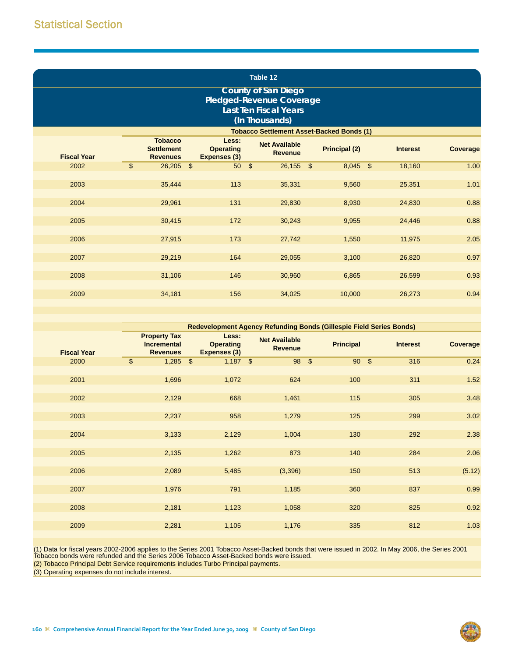|                            | Table 12                 |                                                        |  |                                                  |  |                                                  |  |                      |  |                 |          |
|----------------------------|--------------------------|--------------------------------------------------------|--|--------------------------------------------------|--|--------------------------------------------------|--|----------------------|--|-----------------|----------|
| <b>County of San Diego</b> |                          |                                                        |  |                                                  |  |                                                  |  |                      |  |                 |          |
|                            | Pledged-Revenue Coverage |                                                        |  |                                                  |  |                                                  |  |                      |  |                 |          |
|                            |                          |                                                        |  |                                                  |  | <b>Last Ten Fiscal Years</b>                     |  |                      |  |                 |          |
|                            |                          |                                                        |  |                                                  |  | (In Thousands)                                   |  |                      |  |                 |          |
|                            |                          |                                                        |  |                                                  |  | <b>Tobacco Settlement Asset-Backed Bonds (1)</b> |  |                      |  |                 |          |
| <b>Fiscal Year</b>         |                          | <b>Tobacco</b><br><b>Settlement</b><br><b>Revenues</b> |  | Less:<br><b>Operating</b><br><b>Expenses (3)</b> |  | <b>Net Available</b><br><b>Revenue</b>           |  | <b>Principal (2)</b> |  | <b>Interest</b> | Coverage |
| 2002                       | \$                       | $26,205$ \$                                            |  | 50 <sup>5</sup>                                  |  | $26,155$ \$                                      |  | $8,045$ \$           |  | 18,160          | 1.00     |
|                            |                          |                                                        |  |                                                  |  |                                                  |  |                      |  |                 |          |
| 2003                       |                          | 35,444                                                 |  | 113                                              |  | 35,331                                           |  | 9,560                |  | 25,351          | 1.01     |
|                            |                          |                                                        |  | 131                                              |  |                                                  |  |                      |  |                 |          |
| 2004                       |                          | 29,961                                                 |  |                                                  |  | 29,830                                           |  | 8,930                |  | 24,830          | 0.88     |
| 2005                       |                          | 30,415                                                 |  | 172                                              |  | 30,243                                           |  | 9,955                |  | 24,446          | 0.88     |
|                            |                          |                                                        |  |                                                  |  |                                                  |  |                      |  |                 |          |
| 2006                       |                          | 27,915                                                 |  | 173                                              |  | 27,742                                           |  | 1,550                |  | 11,975          | 2.05     |
|                            |                          |                                                        |  |                                                  |  |                                                  |  |                      |  |                 |          |
| 2007                       |                          | 29,219                                                 |  | 164                                              |  | 29,055                                           |  | 3,100                |  | 26,820          | 0.97     |
|                            |                          |                                                        |  |                                                  |  |                                                  |  |                      |  |                 |          |
| 2008                       |                          | 31,106                                                 |  | 146                                              |  | 30,960                                           |  | 6,865                |  | 26,599          | 0.93     |
|                            |                          |                                                        |  |                                                  |  |                                                  |  |                      |  |                 |          |
| 2009                       |                          | 34,181                                                 |  | 156                                              |  | 34,025                                           |  | 10,000               |  | 26,273          | 0.94     |

|                    | Redevelopment Agency Refunding Bonds (Gillespie Field Series Bonds) |                                           |                                        |                               |                 |          |  |  |  |  |
|--------------------|---------------------------------------------------------------------|-------------------------------------------|----------------------------------------|-------------------------------|-----------------|----------|--|--|--|--|
| <b>Fiscal Year</b> | <b>Property Tax</b><br><b>Incremental</b><br><b>Revenues</b>        | Less:<br><b>Operating</b><br>Expenses (3) | <b>Net Available</b><br><b>Revenue</b> | <b>Principal</b>              | <b>Interest</b> | Coverage |  |  |  |  |
| 2000               | $\frac{1}{2}$<br>1,285                                              | $\sqrt[6]{3}$<br>$1,187$ \$               | 98                                     | $\sqrt[6]{3}$<br>$90\quad$ \$ | 316             | 0.24     |  |  |  |  |
| 2001               | 1,696                                                               | 1,072                                     | 624                                    | 100                           | 311             | 1.52     |  |  |  |  |
| 2002               | 2,129                                                               | 668                                       | 1,461                                  | 115                           | 305             | 3.48     |  |  |  |  |
|                    |                                                                     |                                           |                                        |                               |                 |          |  |  |  |  |
| 2003               | 2,237                                                               | 958                                       | 1,279                                  | 125                           | 299             | 3.02     |  |  |  |  |
| 2004               | 3,133                                                               | 2,129                                     | 1,004                                  | 130                           | 292             | 2.38     |  |  |  |  |
| 2005               | 2,135                                                               | 1,262                                     | 873                                    | 140                           | 284             | 2.06     |  |  |  |  |
| 2006               | 2,089                                                               | 5,485                                     | (3,396)                                | 150                           | 513             | (5.12)   |  |  |  |  |
| 2007               | 1,976                                                               | 791                                       | 1,185                                  | 360                           | 837             | 0.99     |  |  |  |  |
| 2008               | 2,181                                                               | 1,123                                     | 1,058                                  | 320                           | 825             | 0.92     |  |  |  |  |
| 2009               | 2,281                                                               | 1,105                                     | 1,176                                  | 335                           | 812             | 1.03     |  |  |  |  |

(1) Data for fiscal years 2002-2006 applies to the Series 2001 Tobacco Asset-Backed bonds that were issued in 2002. In May 2006, the Series 2001<br>Tobacco bonds were refunded and the Series 2006 Tobacco Asset-Backed bonds we

(2) Tobacco Principal Debt Service requirements includes Turbo Principal payments.

(3) Operating expenses do not include interest.

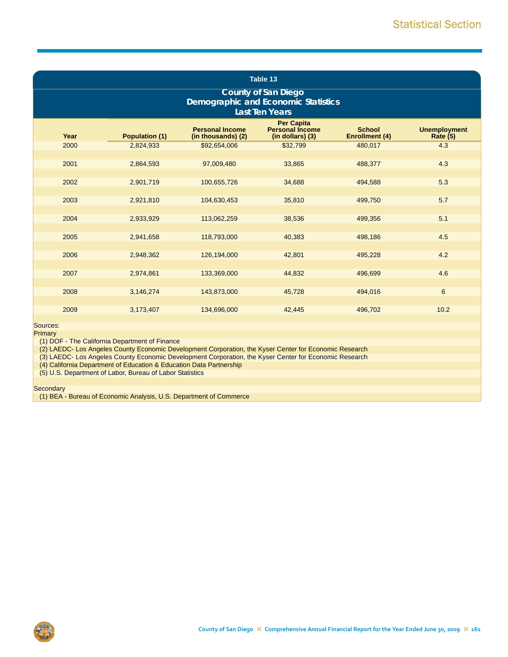| Table 13                                                                                          |                                                                                                                                                                                    |              |          |         |       |  |  |  |  |
|---------------------------------------------------------------------------------------------------|------------------------------------------------------------------------------------------------------------------------------------------------------------------------------------|--------------|----------|---------|-------|--|--|--|--|
| <b>County of San Diego</b><br><b>Demographic and Economic Statistics</b><br><b>Last Ten Years</b> |                                                                                                                                                                                    |              |          |         |       |  |  |  |  |
| Year                                                                                              | <b>Per Capita</b><br><b>Personal Income</b><br><b>Personal Income</b><br><b>School</b><br><b>Population (1)</b><br><b>Enrollment (4)</b><br>(in thousands) (2)<br>(in dollars) (3) |              |          |         |       |  |  |  |  |
| 2000                                                                                              | 2,824,933                                                                                                                                                                          | \$92,654,006 | \$32,799 | 480,017 | 4.3   |  |  |  |  |
| 2001                                                                                              | 2,864,593                                                                                                                                                                          | 97,009,480   | 33,865   | 488,377 | 4.3   |  |  |  |  |
| 2002                                                                                              | 2,901,719                                                                                                                                                                          | 100,655,726  | 34,688   | 494,588 | 5.3   |  |  |  |  |
| 2003                                                                                              | 2,921,810                                                                                                                                                                          | 104,630,453  | 35,810   | 499,750 | 5.7   |  |  |  |  |
| 2004                                                                                              | 2,933,929                                                                                                                                                                          | 113,062,259  | 38,536   | 499,356 | 5.1   |  |  |  |  |
| 2005                                                                                              | 2,941,658                                                                                                                                                                          | 118,793,000  | 40,383   | 498,186 | 4.5   |  |  |  |  |
|                                                                                                   |                                                                                                                                                                                    |              |          |         |       |  |  |  |  |
| 2006                                                                                              | 2,948,362                                                                                                                                                                          | 126,194,000  | 42,801   | 495,228 | 4.2   |  |  |  |  |
| 2007                                                                                              | 2,974,861                                                                                                                                                                          | 133,369,000  | 44,832   | 496,699 | 4.6   |  |  |  |  |
| 2008                                                                                              | 3,146,274                                                                                                                                                                          | 143,873,000  | 45,728   | 494,016 | $\,6$ |  |  |  |  |
|                                                                                                   |                                                                                                                                                                                    |              |          |         |       |  |  |  |  |
| 2009                                                                                              | 3,173,407                                                                                                                                                                          | 134,696,000  | 42,445   | 496,702 | 10.2  |  |  |  |  |
| Sources:<br>Primary<br>(1) DOF - The California Department of Finance                             |                                                                                                                                                                                    |              |          |         |       |  |  |  |  |

(2) LAEDC- Los Angeles County Economic Development Corporation, the Kyser Center for Economic Research

(3) LAEDC- Los Angeles County Economic Development Corporation, the Kyser Center for Economic Research

(4) California Department of Education & Education Data Partnership

(5) U.S. Department of Labor, Bureau of Labor Statistics

**Secondary** 

(1) BEA - Bureau of Economic Analysis, U.S. Department of Commerce

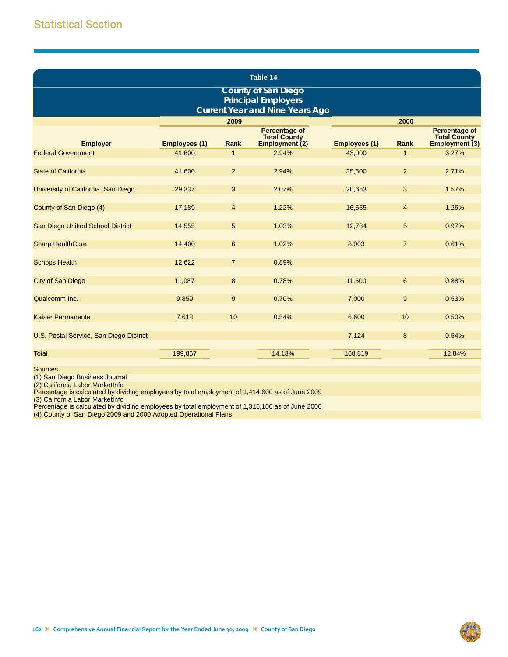| Table 14                                                                                           |                      |                |                                                               |                      |                |                                                               |  |  |  |  |
|----------------------------------------------------------------------------------------------------|----------------------|----------------|---------------------------------------------------------------|----------------------|----------------|---------------------------------------------------------------|--|--|--|--|
| <b>County of San Diego</b><br><b>Principal Employers</b><br><b>Current Year and Nine Years Ago</b> |                      |                |                                                               |                      |                |                                                               |  |  |  |  |
|                                                                                                    |                      | 2009           |                                                               |                      | 2000           |                                                               |  |  |  |  |
| <b>Employer</b>                                                                                    | <b>Employees (1)</b> | <b>Rank</b>    | <b>Percentage of</b><br><b>Total County</b><br>Employment (2) | <b>Employees (1)</b> | <b>Rank</b>    | <b>Percentage of</b><br><b>Total County</b><br>Employment (3) |  |  |  |  |
| <b>Federal Government</b>                                                                          | 41,600               | $\mathbf 1$    | 2.94%                                                         | 43,000               | $\mathbf{1}$   | 3.27%                                                         |  |  |  |  |
| <b>State of California</b>                                                                         | 41,600               | $\overline{2}$ | 2.94%                                                         | 35,600               | $\overline{2}$ | 2.71%                                                         |  |  |  |  |
| University of California, San Diego                                                                | 29,337               | 3              | 2.07%                                                         | 20,653               | 3              | 1.57%                                                         |  |  |  |  |
| County of San Diego (4)                                                                            | 17,189               | $\overline{4}$ | 1.22%                                                         | 16,555               | $\overline{4}$ | 1.26%                                                         |  |  |  |  |
| San Diego Unified School District                                                                  | 14,555               | 5              | 1.03%                                                         | 12,784               | 5              | 0.97%                                                         |  |  |  |  |
| <b>Sharp HealthCare</b>                                                                            | 14,400               | 6              | 1.02%                                                         | 8,003                | $\overline{7}$ | 0.61%                                                         |  |  |  |  |
| <b>Scripps Health</b>                                                                              | 12,622               | $\overline{7}$ | 0.89%                                                         |                      |                |                                                               |  |  |  |  |
| City of San Diego                                                                                  | 11,087               | 8              | 0.78%                                                         | 11,500               | 6              | 0.88%                                                         |  |  |  |  |
| Qualcomm Inc.                                                                                      | 9,859                | 9              | 0.70%                                                         | 7,000                | 9              | 0.53%                                                         |  |  |  |  |
| <b>Kaiser Permanente</b>                                                                           | 7,618                | 10             | 0.54%                                                         | 6,600                | 10             | 0.50%                                                         |  |  |  |  |
| U.S. Postal Service, San Diego District                                                            |                      |                |                                                               | 7,124                | 8              | 0.54%                                                         |  |  |  |  |
| <b>Total</b><br>Sources:                                                                           | 199,867              |                | 14.13%                                                        | 168,819              |                | 12.84%                                                        |  |  |  |  |

Sources:

(1) San Diego Business Journal

(2) California Labor MarketInfo Percentage is calculated by dividing employees by total employment of 1,414,600 as of June 2009

(3) California Labor MarketInfo

Percentage is calculated by dividing employees by total employment of 1,315,100 as of June 2000

(4) County of San Diego 2009 and 2000 Adopted Operational Plans

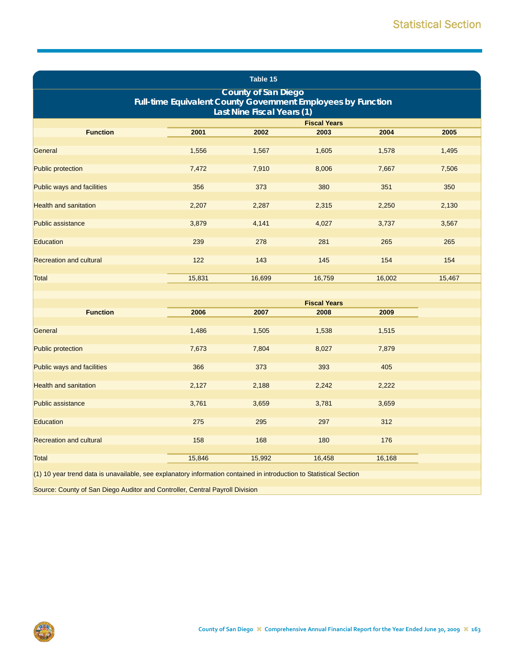| Table 15                                                                                                                 |        |        |                     |        |        |  |  |  |  |
|--------------------------------------------------------------------------------------------------------------------------|--------|--------|---------------------|--------|--------|--|--|--|--|
| <b>County of San Diego</b><br>Full-time Equivalent County Government Employees by Function<br>Last Nine Fiscal Years (1) |        |        |                     |        |        |  |  |  |  |
|                                                                                                                          |        |        | <b>Fiscal Years</b> |        |        |  |  |  |  |
| <b>Function</b>                                                                                                          | 2001   | 2002   | 2003                | 2004   | 2005   |  |  |  |  |
| General                                                                                                                  | 1,556  | 1,567  | 1,605               | 1,578  | 1,495  |  |  |  |  |
| <b>Public protection</b>                                                                                                 | 7,472  | 7,910  | 8,006               | 7,667  | 7,506  |  |  |  |  |
| Public ways and facilities                                                                                               | 356    | 373    | 380                 | 351    | 350    |  |  |  |  |
| <b>Health and sanitation</b>                                                                                             | 2,207  | 2,287  | 2,315               | 2,250  | 2,130  |  |  |  |  |
| <b>Public assistance</b>                                                                                                 | 3,879  | 4,141  | 4,027               | 3,737  | 3,567  |  |  |  |  |
| Education                                                                                                                | 239    | 278    | 281                 | 265    | 265    |  |  |  |  |
| <b>Recreation and cultural</b>                                                                                           | 122    | 143    | 145                 | 154    | 154    |  |  |  |  |
| <b>Total</b>                                                                                                             | 15,831 | 16,699 | 16,759              | 16,002 | 15,467 |  |  |  |  |
|                                                                                                                          |        |        |                     |        |        |  |  |  |  |
|                                                                                                                          |        |        | <b>Fiscal Years</b> |        |        |  |  |  |  |
| <b>Function</b>                                                                                                          | 2006   | 2007   | 2008                | 2009   |        |  |  |  |  |
| General                                                                                                                  | 1,486  | 1,505  | 1,538               | 1,515  |        |  |  |  |  |
| <b>Public protection</b>                                                                                                 | 7,673  | 7,804  | 8,027               | 7,879  |        |  |  |  |  |
| Public ways and facilities                                                                                               | 366    | 373    | 393                 | 405    |        |  |  |  |  |
| <b>Health and sanitation</b>                                                                                             | 2,127  | 2,188  | 2,242               | 2,222  |        |  |  |  |  |
| <b>Public assistance</b>                                                                                                 | 3,761  | 3,659  | 3,781               | 3,659  |        |  |  |  |  |
| <b>Education</b>                                                                                                         | 275    | 295    | 297                 | 312    |        |  |  |  |  |
| <b>Recreation and cultural</b>                                                                                           | 158    | 168    | 180                 | 176    |        |  |  |  |  |
| <b>Total</b>                                                                                                             | 15,846 | 15,992 | 16,458              | 16,168 |        |  |  |  |  |
| (1) 10 year trend data is unavailable, see explanatory information contained in introduction to Statistical Section      |        |        |                     |        |        |  |  |  |  |

Source: County of San Diego Auditor and Controller, Central Payroll Division

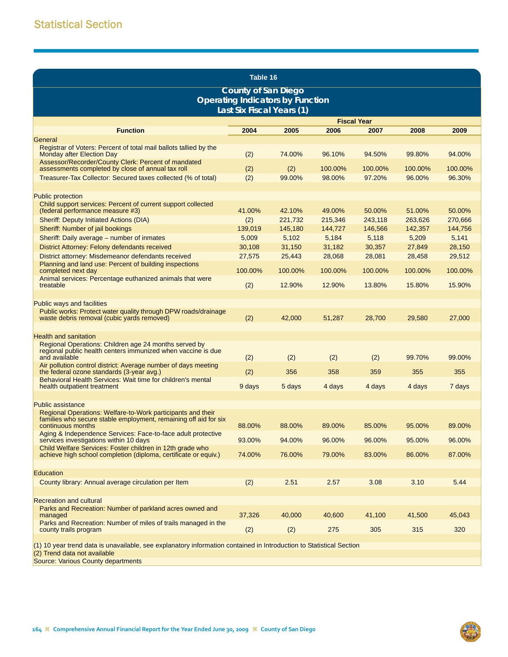| Table 16                                                                                                                               |                            |                                         |         |                    |         |         |  |  |
|----------------------------------------------------------------------------------------------------------------------------------------|----------------------------|-----------------------------------------|---------|--------------------|---------|---------|--|--|
|                                                                                                                                        | <b>County of San Diego</b> |                                         |         |                    |         |         |  |  |
|                                                                                                                                        |                            | <b>Operating Indicators by Function</b> |         |                    |         |         |  |  |
|                                                                                                                                        |                            | Last Six Fiscal Years (1)               |         |                    |         |         |  |  |
|                                                                                                                                        |                            |                                         |         | <b>Fiscal Year</b> |         |         |  |  |
| <b>Function</b>                                                                                                                        | 2004                       | 2005                                    | 2006    | 2007               | 2008    | 2009    |  |  |
| General<br>Registrar of Voters: Percent of total mail ballots tallied by the                                                           |                            |                                         |         |                    |         |         |  |  |
| <b>Monday after Election Day</b><br>Assessor/Recorder/County Clerk: Percent of mandated                                                | (2)                        | 74.00%                                  | 96.10%  | 94.50%             | 99.80%  | 94.00%  |  |  |
| assessments completed by close of annual tax roll                                                                                      | (2)                        | (2)                                     | 100.00% | 100.00%            | 100.00% | 100.00% |  |  |
| Treasurer-Tax Collector: Secured taxes collected (% of total)                                                                          | (2)                        | 99.00%                                  | 98.00%  | 97.20%             | 96.00%  | 96.30%  |  |  |
|                                                                                                                                        |                            |                                         |         |                    |         |         |  |  |
| <b>Public protection</b><br>Child support services: Percent of current support collected<br>(federal performance measure #3)           | 41.00%                     | 42.10%                                  | 49.00%  | 50.00%             | 51.00%  | 50.00%  |  |  |
| <b>Sheriff: Deputy Initiated Actions (DIA)</b>                                                                                         | (2)                        | 221,732                                 | 215,346 | 243,118            | 263,626 | 270,666 |  |  |
| Sheriff: Number of jail bookings                                                                                                       | 139,019                    | 145,180                                 | 144,727 | 146,566            | 142,357 | 144,756 |  |  |
| Sheriff: Daily average - number of inmates                                                                                             | 5,009                      | 5,102                                   | 5,184   | 5,118              | 5,209   | 5,141   |  |  |
| District Attorney: Felony defendants received                                                                                          | 30,108                     | 31,150                                  | 31,182  | 30,357             | 27,849  | 28,150  |  |  |
| District attorney: Misdemeanor defendants received                                                                                     | 27,575                     | 25,443                                  | 28,068  | 28,081             | 28,458  | 29,512  |  |  |
| Planning and land use: Percent of building inspections<br>completed next day                                                           | 100.00%                    | 100.00%                                 | 100.00% | 100.00%            | 100.00% | 100.00% |  |  |
| Animal services: Percentage euthanized animals that were<br>treatable                                                                  | (2)                        | 12.90%                                  | 12.90%  | 13.80%             | 15.80%  | 15.90%  |  |  |
|                                                                                                                                        |                            |                                         |         |                    |         |         |  |  |
| Public ways and facilities                                                                                                             |                            |                                         |         |                    |         |         |  |  |
| Public works: Protect water quality through DPW roads/drainage                                                                         |                            |                                         |         |                    |         |         |  |  |
| waste debris removal (cubic yards removed)                                                                                             | (2)                        | 42,000                                  | 51,287  | 28,700             | 29,580  | 27,000  |  |  |
|                                                                                                                                        |                            |                                         |         |                    |         |         |  |  |
| <b>Health and sanitation</b>                                                                                                           |                            |                                         |         |                    |         |         |  |  |
| Regional Operations: Children age 24 months served by<br>regional public health centers immunized when vaccine is due<br>and available | (2)                        | (2)                                     | (2)     | (2)                | 99.70%  | 99.00%  |  |  |
| Air pollution control district: Average number of days meeting<br>the federal ozone standards (3-year avg.)                            | (2)                        | 356                                     | 358     | 359                | 355     | 355     |  |  |
| Behavioral Health Services: Wait time for children's mental<br>health outpatient treatment                                             | 9 days                     | 5 days                                  | 4 days  | 4 days             | 4 days  | 7 days  |  |  |
|                                                                                                                                        |                            |                                         |         |                    |         |         |  |  |
| <b>Public assistance</b><br>Regional Operations: Welfare-to-Work participants and their                                                |                            |                                         |         |                    |         |         |  |  |
| families who secure stable employment, remaining off aid for six<br>continuous months                                                  | 88.00%                     | 88.00%                                  | 89.00%  | 85.00%             | 95.00%  | 89.00%  |  |  |
| Aging & Independence Services: Face-to-face adult protective<br>services investigations within 10 days                                 | 93.00%                     | 94.00%                                  | 96.00%  | 96.00%             | 95.00%  | 96.00%  |  |  |
| Child Welfare Services: Foster children in 12th grade who<br>achieve high school completion (diploma, certificate or equiv.)           | 74.00%                     | 76.00%                                  | 79.00%  | 83.00%             | 86.00%  | 87.00%  |  |  |
| Education                                                                                                                              |                            |                                         |         |                    |         |         |  |  |
| County library: Annual average circulation per Item                                                                                    | (2)                        | 2.51                                    | 2.57    | 3.08               | 3.10    | 5.44    |  |  |
|                                                                                                                                        |                            |                                         |         |                    |         |         |  |  |
| <b>Recreation and cultural</b>                                                                                                         |                            |                                         |         |                    |         |         |  |  |
| Parks and Recreation: Number of parkland acres owned and<br>managed                                                                    | 37,326                     | 40,000                                  | 40,600  | 41,100             | 41,500  | 45,043  |  |  |
| Parks and Recreation: Number of miles of trails managed in the                                                                         |                            |                                         |         |                    |         |         |  |  |
| county trails program                                                                                                                  | (2)                        | (2)                                     | 275     | 305                | 315     | 320     |  |  |
| (1) 10 year trend data is unavailable, see explanatory information contained in Introduction to Statistical Section                    |                            |                                         |         |                    |         |         |  |  |
| (2) Trend data not available                                                                                                           |                            |                                         |         |                    |         |         |  |  |
| Source: Various County departments                                                                                                     |                            |                                         |         |                    |         |         |  |  |